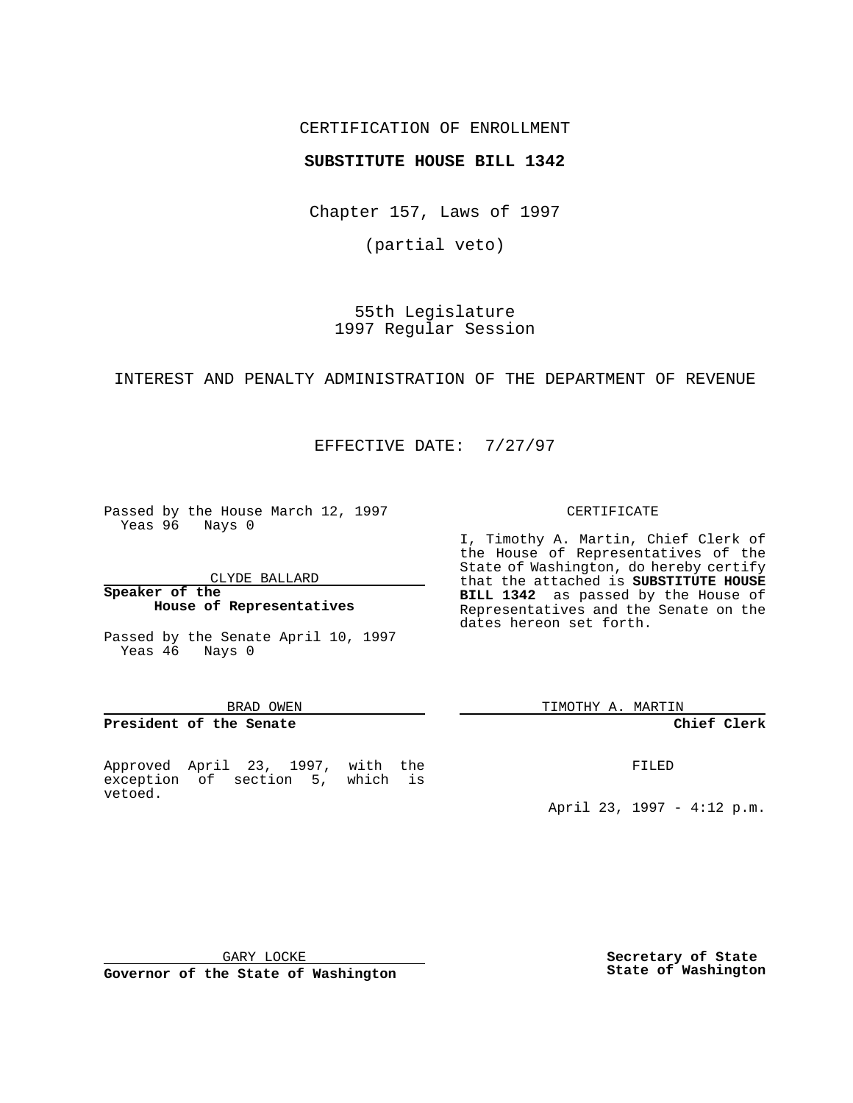## CERTIFICATION OF ENROLLMENT

## **SUBSTITUTE HOUSE BILL 1342**

Chapter 157, Laws of 1997

(partial veto)

55th Legislature 1997 Regular Session

INTEREST AND PENALTY ADMINISTRATION OF THE DEPARTMENT OF REVENUE

EFFECTIVE DATE: 7/27/97

Passed by the House March 12, 1997 Yeas 96 Nays 0

CLYDE BALLARD

**Speaker of the House of Representatives**

Passed by the Senate April 10, 1997 Yeas 46 Nays 0

#### BRAD OWEN

### **President of the Senate**

Approved April 23, 1997, with the exception of section 5, which is vetoed.

#### CERTIFICATE

I, Timothy A. Martin, Chief Clerk of the House of Representatives of the State of Washington, do hereby certify that the attached is **SUBSTITUTE HOUSE BILL 1342** as passed by the House of Representatives and the Senate on the dates hereon set forth.

TIMOTHY A. MARTIN

#### **Chief Clerk**

FILED

April 23, 1997 - 4:12 p.m.

GARY LOCKE

**Governor of the State of Washington**

**Secretary of State State of Washington**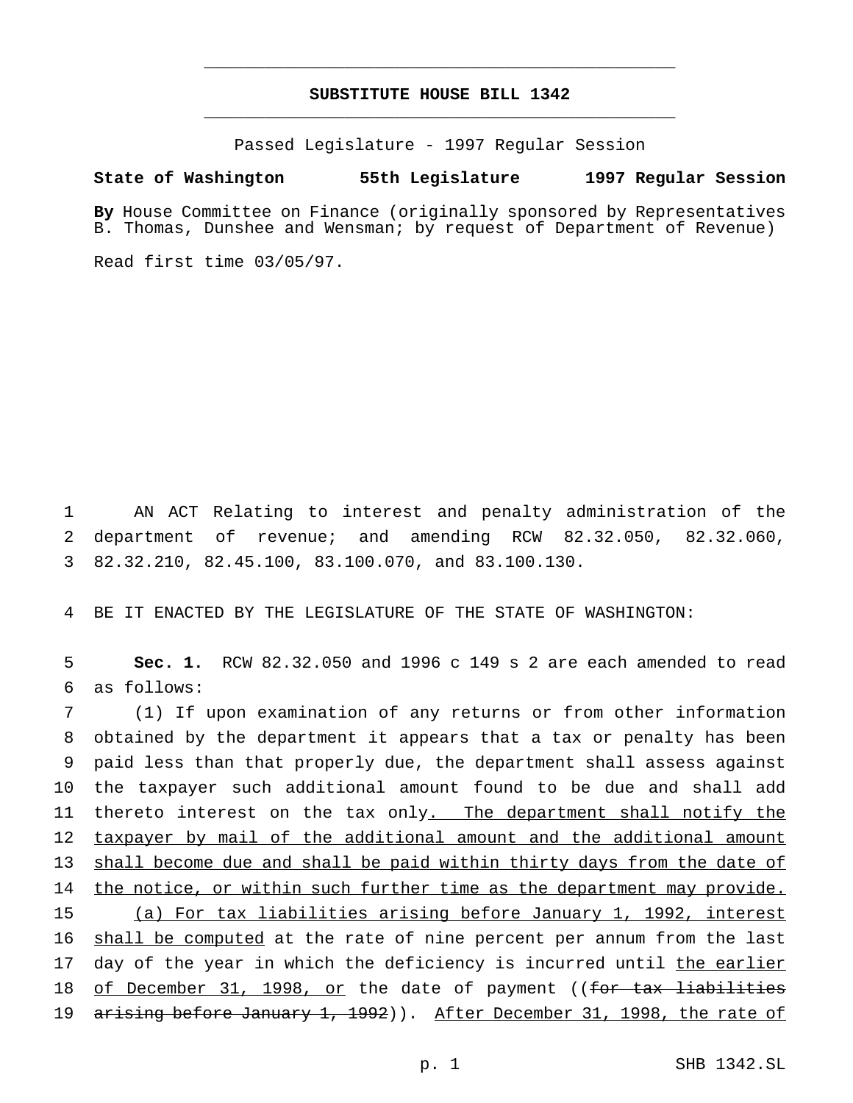# **SUBSTITUTE HOUSE BILL 1342** \_\_\_\_\_\_\_\_\_\_\_\_\_\_\_\_\_\_\_\_\_\_\_\_\_\_\_\_\_\_\_\_\_\_\_\_\_\_\_\_\_\_\_\_\_\_\_

\_\_\_\_\_\_\_\_\_\_\_\_\_\_\_\_\_\_\_\_\_\_\_\_\_\_\_\_\_\_\_\_\_\_\_\_\_\_\_\_\_\_\_\_\_\_\_

Passed Legislature - 1997 Regular Session

#### **State of Washington 55th Legislature 1997 Regular Session**

**By** House Committee on Finance (originally sponsored by Representatives B. Thomas, Dunshee and Wensman; by request of Department of Revenue)

Read first time 03/05/97.

1 AN ACT Relating to interest and penalty administration of the 2 department of revenue; and amending RCW 82.32.050, 82.32.060, 3 82.32.210, 82.45.100, 83.100.070, and 83.100.130.

4 BE IT ENACTED BY THE LEGISLATURE OF THE STATE OF WASHINGTON:

5 **Sec. 1.** RCW 82.32.050 and 1996 c 149 s 2 are each amended to read 6 as follows:

7 (1) If upon examination of any returns or from other information 8 obtained by the department it appears that a tax or penalty has been 9 paid less than that properly due, the department shall assess against 10 the taxpayer such additional amount found to be due and shall add 11 thereto interest on the tax only. The department shall notify the 12 taxpayer by mail of the additional amount and the additional amount 13 shall become due and shall be paid within thirty days from the date of 14 the notice, or within such further time as the department may provide. 15 (a) For tax liabilities arising before January 1, 1992, interest 16 shall be computed at the rate of nine percent per annum from the last 17 day of the year in which the deficiency is incurred until the earlier 18 of December 31, 1998, or the date of payment ((for tax liabilities 19 arising before January 1, 1992)). After December 31, 1998, the rate of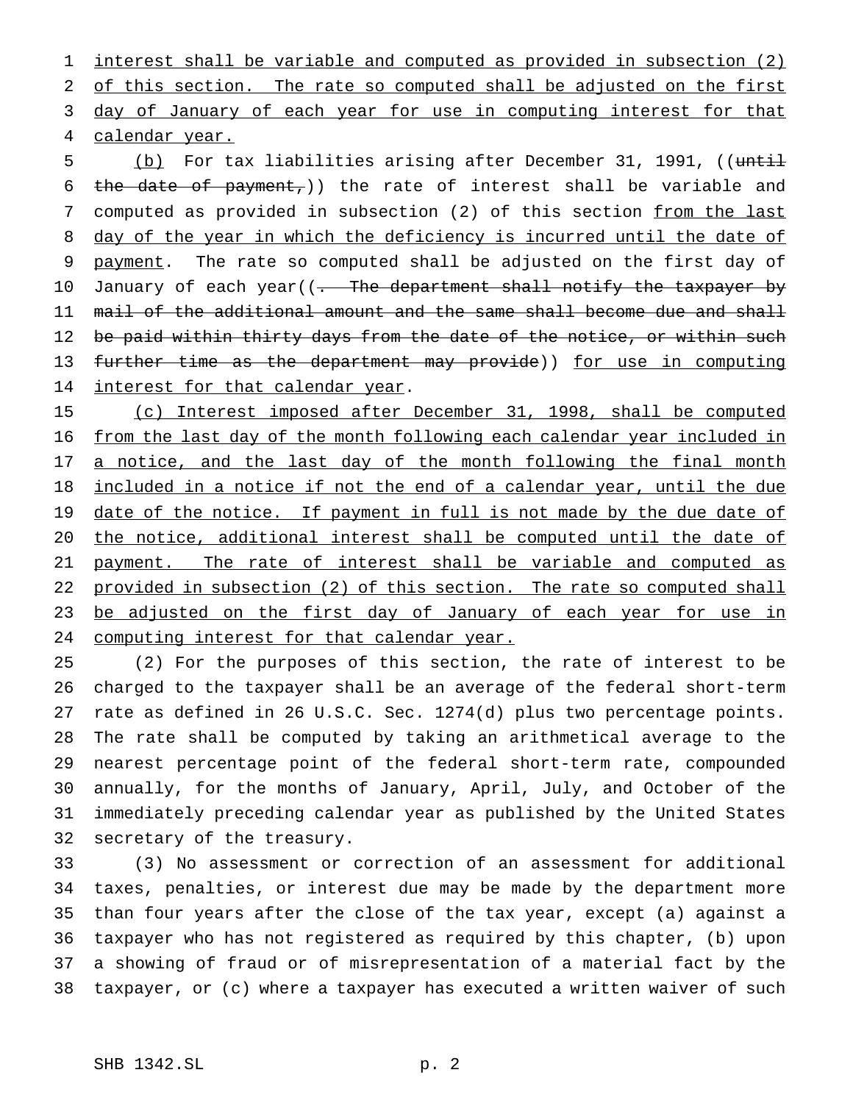1 interest shall be variable and computed as provided in subsection (2) 2 of this section. The rate so computed shall be adjusted on the first 3 day of January of each year for use in computing interest for that 4 calendar year.

5 (b) For tax liabilities arising after December 31, 1991, ((until 6 the date of payment,)) the rate of interest shall be variable and 7 computed as provided in subsection (2) of this section from the last 8 day of the year in which the deficiency is incurred until the date of 9 payment. The rate so computed shall be adjusted on the first day of 10 January of each year((- The department shall notify the taxpayer by 11 mail of the additional amount and the same shall become due and shall 12 be paid within thirty days from the date of the notice, or within such 13 further time as the department may provide)) for use in computing 14 interest for that calendar year.

15 (c) Interest imposed after December 31, 1998, shall be computed 16 from the last day of the month following each calendar year included in 17 a notice, and the last day of the month following the final month 18 included in a notice if not the end of a calendar year, until the due 19 date of the notice. If payment in full is not made by the due date of 20 the notice, additional interest shall be computed until the date of 21 payment. The rate of interest shall be variable and computed as 22 provided in subsection (2) of this section. The rate so computed shall 23 be adjusted on the first day of January of each year for use in 24 computing interest for that calendar year.

 (2) For the purposes of this section, the rate of interest to be charged to the taxpayer shall be an average of the federal short-term rate as defined in 26 U.S.C. Sec. 1274(d) plus two percentage points. The rate shall be computed by taking an arithmetical average to the nearest percentage point of the federal short-term rate, compounded annually, for the months of January, April, July, and October of the immediately preceding calendar year as published by the United States secretary of the treasury.

 (3) No assessment or correction of an assessment for additional taxes, penalties, or interest due may be made by the department more than four years after the close of the tax year, except (a) against a taxpayer who has not registered as required by this chapter, (b) upon a showing of fraud or of misrepresentation of a material fact by the taxpayer, or (c) where a taxpayer has executed a written waiver of such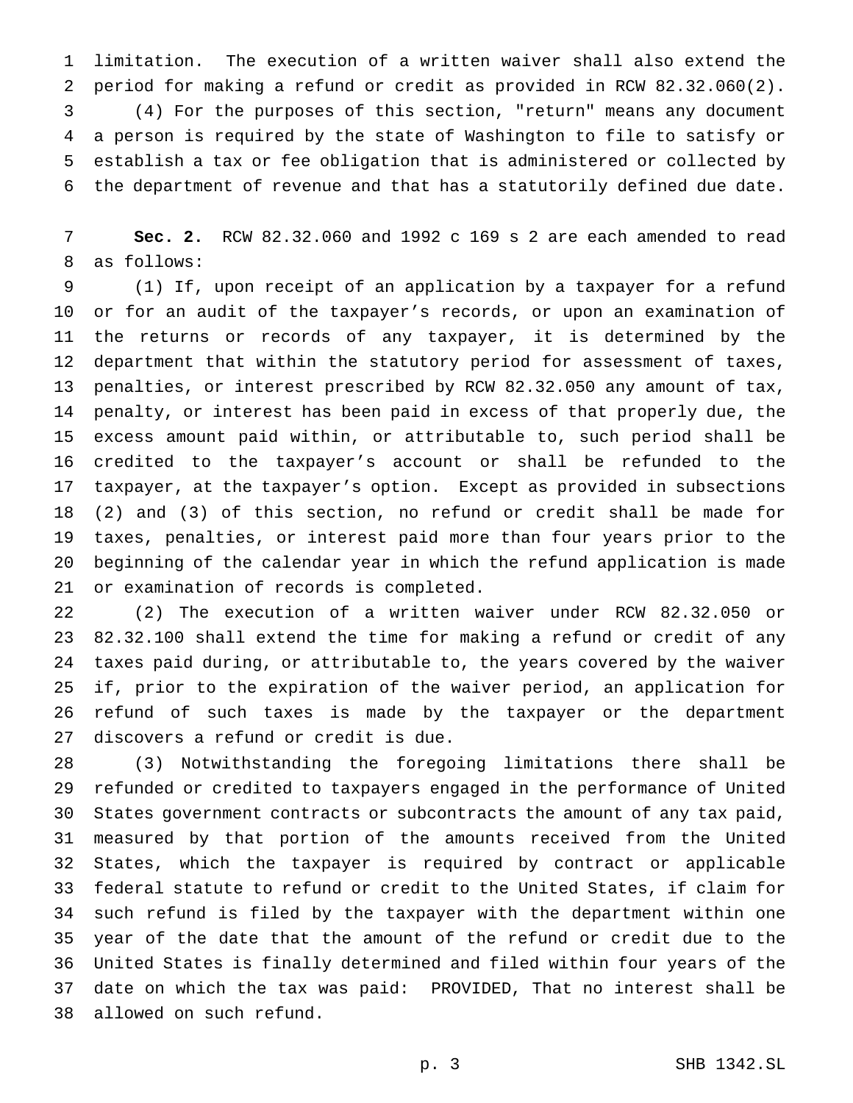limitation. The execution of a written waiver shall also extend the period for making a refund or credit as provided in RCW 82.32.060(2). (4) For the purposes of this section, "return" means any document a person is required by the state of Washington to file to satisfy or establish a tax or fee obligation that is administered or collected by the department of revenue and that has a statutorily defined due date.

 **Sec. 2.** RCW 82.32.060 and 1992 c 169 s 2 are each amended to read as follows:

 (1) If, upon receipt of an application by a taxpayer for a refund or for an audit of the taxpayer's records, or upon an examination of the returns or records of any taxpayer, it is determined by the department that within the statutory period for assessment of taxes, penalties, or interest prescribed by RCW 82.32.050 any amount of tax, penalty, or interest has been paid in excess of that properly due, the excess amount paid within, or attributable to, such period shall be credited to the taxpayer's account or shall be refunded to the taxpayer, at the taxpayer's option. Except as provided in subsections (2) and (3) of this section, no refund or credit shall be made for taxes, penalties, or interest paid more than four years prior to the beginning of the calendar year in which the refund application is made or examination of records is completed.

 (2) The execution of a written waiver under RCW 82.32.050 or 82.32.100 shall extend the time for making a refund or credit of any taxes paid during, or attributable to, the years covered by the waiver if, prior to the expiration of the waiver period, an application for refund of such taxes is made by the taxpayer or the department discovers a refund or credit is due.

 (3) Notwithstanding the foregoing limitations there shall be refunded or credited to taxpayers engaged in the performance of United States government contracts or subcontracts the amount of any tax paid, measured by that portion of the amounts received from the United States, which the taxpayer is required by contract or applicable federal statute to refund or credit to the United States, if claim for such refund is filed by the taxpayer with the department within one year of the date that the amount of the refund or credit due to the United States is finally determined and filed within four years of the date on which the tax was paid: PROVIDED, That no interest shall be allowed on such refund.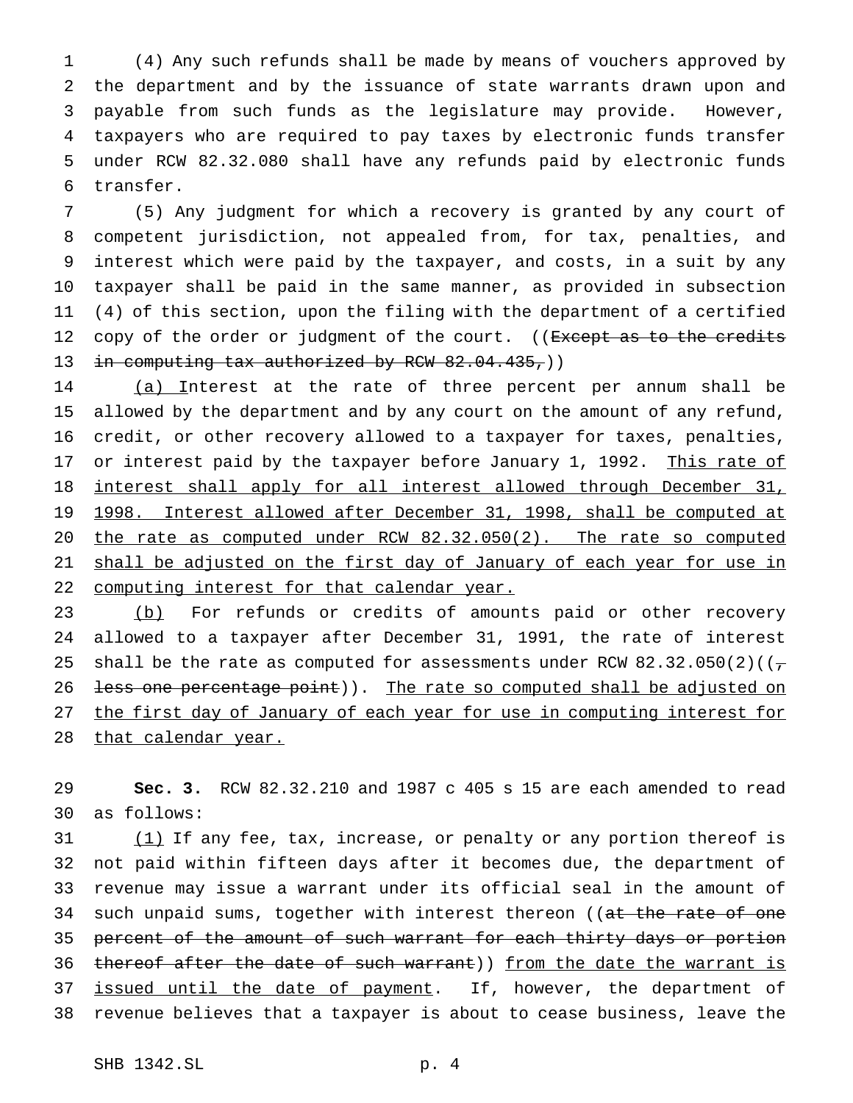(4) Any such refunds shall be made by means of vouchers approved by the department and by the issuance of state warrants drawn upon and payable from such funds as the legislature may provide. However, taxpayers who are required to pay taxes by electronic funds transfer under RCW 82.32.080 shall have any refunds paid by electronic funds transfer.

 (5) Any judgment for which a recovery is granted by any court of competent jurisdiction, not appealed from, for tax, penalties, and interest which were paid by the taxpayer, and costs, in a suit by any taxpayer shall be paid in the same manner, as provided in subsection (4) of this section, upon the filing with the department of a certified 12 copy of the order or judgment of the court. ((Except as to the credits 13 in computing tax authorized by RCW  $82.04.435$ , ()

 (a) Interest at the rate of three percent per annum shall be allowed by the department and by any court on the amount of any refund, credit, or other recovery allowed to a taxpayer for taxes, penalties, 17 or interest paid by the taxpayer before January 1, 1992. This rate of interest shall apply for all interest allowed through December 31, 1998. Interest allowed after December 31, 1998, shall be computed at the rate as computed under RCW 82.32.050(2). The rate so computed 21 shall be adjusted on the first day of January of each year for use in 22 computing interest for that calendar year.

23 (b) For refunds or credits of amounts paid or other recovery 24 allowed to a taxpayer after December 31, 1991, the rate of interest 25 shall be the rate as computed for assessments under RCW 82.32.050(2)( $(\tau$ 26 <del>less one percentage point</del>)). The rate so computed shall be adjusted on 27 the first day of January of each year for use in computing interest for 28 that calendar year.

29 **Sec. 3.** RCW 82.32.210 and 1987 c 405 s 15 are each amended to read 30 as follows:

31 (1) If any fee, tax, increase, or penalty or any portion thereof is 32 not paid within fifteen days after it becomes due, the department of 33 revenue may issue a warrant under its official seal in the amount of 34 such unpaid sums, together with interest thereon ((at the rate of one 35 percent of the amount of such warrant for each thirty days or portion 36 thereof after the date of such warrant)) from the date the warrant is 37 issued until the date of payment. If, however, the department of 38 revenue believes that a taxpayer is about to cease business, leave the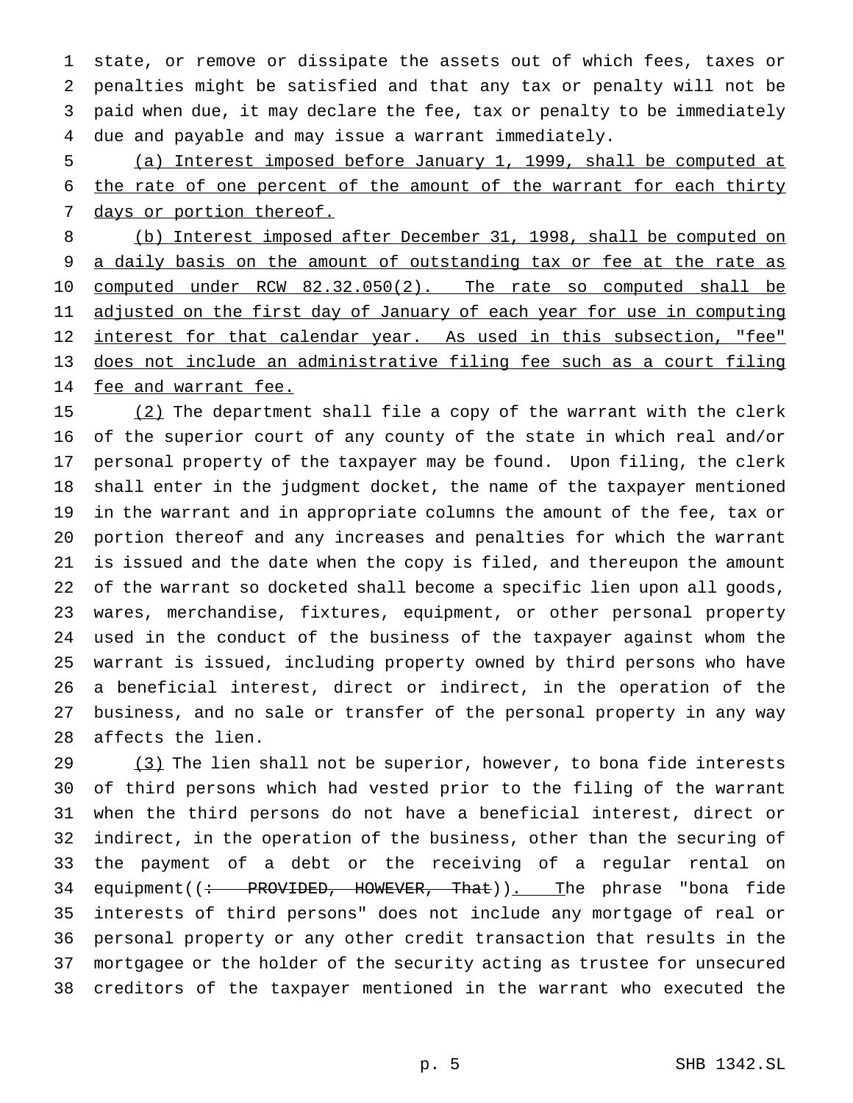state, or remove or dissipate the assets out of which fees, taxes or penalties might be satisfied and that any tax or penalty will not be paid when due, it may declare the fee, tax or penalty to be immediately due and payable and may issue a warrant immediately.

 (a) Interest imposed before January 1, 1999, shall be computed at the rate of one percent of the amount of the warrant for each thirty 7 days or portion thereof.

 (b) Interest imposed after December 31, 1998, shall be computed on 9 a daily basis on the amount of outstanding tax or fee at the rate as computed under RCW 82.32.050(2). The rate so computed shall be 11 adjusted on the first day of January of each year for use in computing 12 interest for that calendar year. As used in this subsection, "fee" does not include an administrative filing fee such as a court filing 14 fee and warrant fee.

15 (2) The department shall file a copy of the warrant with the clerk of the superior court of any county of the state in which real and/or personal property of the taxpayer may be found. Upon filing, the clerk shall enter in the judgment docket, the name of the taxpayer mentioned in the warrant and in appropriate columns the amount of the fee, tax or portion thereof and any increases and penalties for which the warrant is issued and the date when the copy is filed, and thereupon the amount of the warrant so docketed shall become a specific lien upon all goods, wares, merchandise, fixtures, equipment, or other personal property used in the conduct of the business of the taxpayer against whom the warrant is issued, including property owned by third persons who have a beneficial interest, direct or indirect, in the operation of the business, and no sale or transfer of the personal property in any way affects the lien.

29 (3) The lien shall not be superior, however, to bona fide interests of third persons which had vested prior to the filing of the warrant when the third persons do not have a beneficial interest, direct or indirect, in the operation of the business, other than the securing of the payment of a debt or the receiving of a regular rental on 34 equipment((: PROVIDED, HOWEVER, That)). The phrase "bona fide interests of third persons" does not include any mortgage of real or personal property or any other credit transaction that results in the mortgagee or the holder of the security acting as trustee for unsecured creditors of the taxpayer mentioned in the warrant who executed the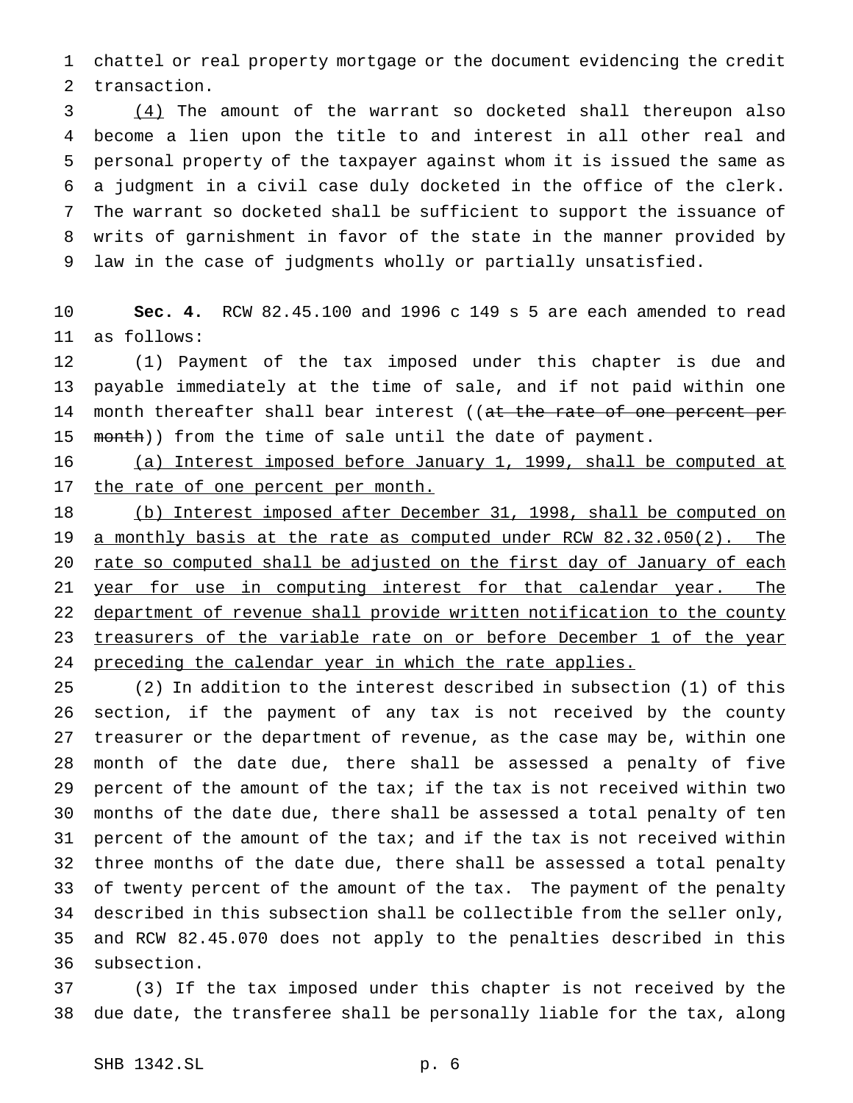chattel or real property mortgage or the document evidencing the credit transaction.

 (4) The amount of the warrant so docketed shall thereupon also become a lien upon the title to and interest in all other real and personal property of the taxpayer against whom it is issued the same as a judgment in a civil case duly docketed in the office of the clerk. The warrant so docketed shall be sufficient to support the issuance of writs of garnishment in favor of the state in the manner provided by law in the case of judgments wholly or partially unsatisfied.

 **Sec. 4.** RCW 82.45.100 and 1996 c 149 s 5 are each amended to read as follows:

 (1) Payment of the tax imposed under this chapter is due and payable immediately at the time of sale, and if not paid within one 14 month thereafter shall bear interest ((at the rate of one percent per 15 month)) from the time of sale until the date of payment.

 (a) Interest imposed before January 1, 1999, shall be computed at 17 the rate of one percent per month.

 (b) Interest imposed after December 31, 1998, shall be computed on a monthly basis at the rate as computed under RCW 82.32.050(2). The 20 rate so computed shall be adjusted on the first day of January of each 21 year for use in computing interest for that calendar year. The 22 department of revenue shall provide written notification to the county treasurers of the variable rate on or before December 1 of the year 24 preceding the calendar year in which the rate applies.

 (2) In addition to the interest described in subsection (1) of this section, if the payment of any tax is not received by the county treasurer or the department of revenue, as the case may be, within one month of the date due, there shall be assessed a penalty of five percent of the amount of the tax; if the tax is not received within two months of the date due, there shall be assessed a total penalty of ten percent of the amount of the tax; and if the tax is not received within three months of the date due, there shall be assessed a total penalty of twenty percent of the amount of the tax. The payment of the penalty described in this subsection shall be collectible from the seller only, and RCW 82.45.070 does not apply to the penalties described in this subsection.

 (3) If the tax imposed under this chapter is not received by the due date, the transferee shall be personally liable for the tax, along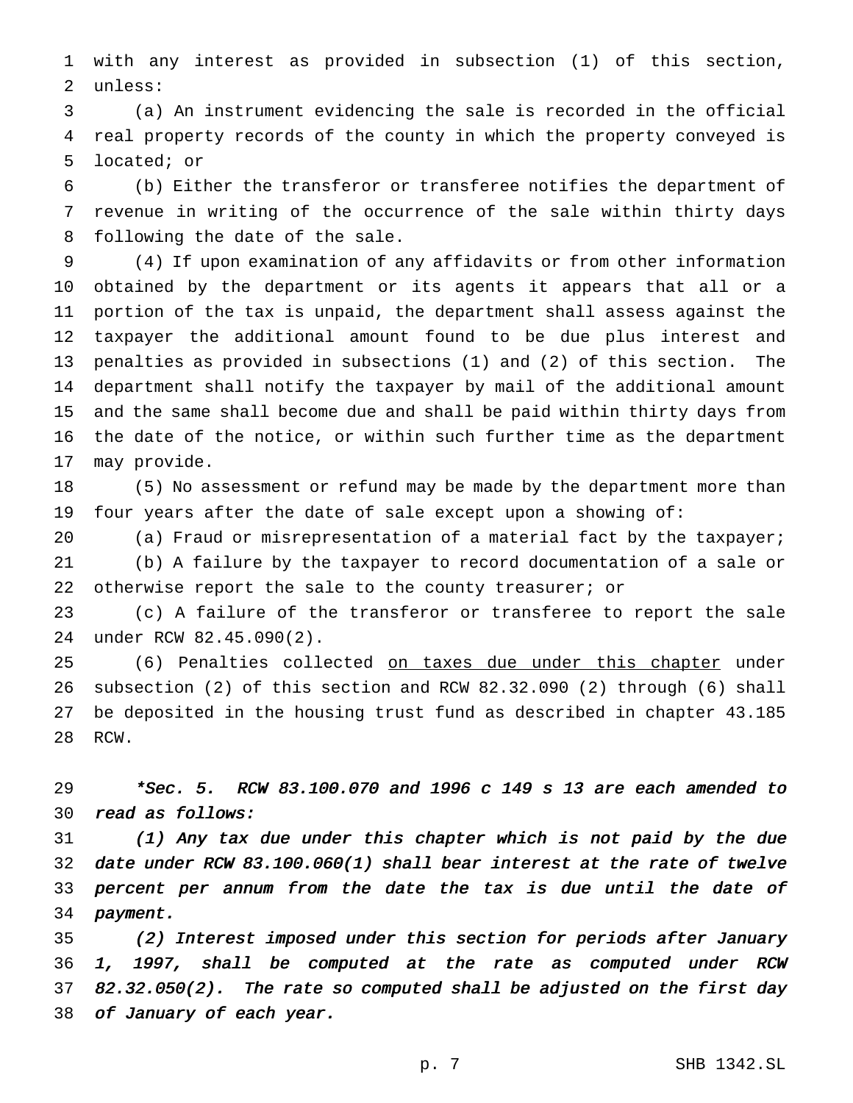with any interest as provided in subsection (1) of this section, unless:

 (a) An instrument evidencing the sale is recorded in the official real property records of the county in which the property conveyed is located; or

 (b) Either the transferor or transferee notifies the department of revenue in writing of the occurrence of the sale within thirty days following the date of the sale.

 (4) If upon examination of any affidavits or from other information obtained by the department or its agents it appears that all or a portion of the tax is unpaid, the department shall assess against the taxpayer the additional amount found to be due plus interest and penalties as provided in subsections (1) and (2) of this section. The department shall notify the taxpayer by mail of the additional amount and the same shall become due and shall be paid within thirty days from the date of the notice, or within such further time as the department may provide.

 (5) No assessment or refund may be made by the department more than four years after the date of sale except upon a showing of:

20 (a) Fraud or misrepresentation of a material fact by the taxpayer; (b) A failure by the taxpayer to record documentation of a sale or 22 otherwise report the sale to the county treasurer; or

 (c) A failure of the transferor or transferee to report the sale under RCW 82.45.090(2).

25 (6) Penalties collected on taxes due under this chapter under subsection (2) of this section and RCW 82.32.090 (2) through (6) shall be deposited in the housing trust fund as described in chapter 43.185 RCW.

 \*Sec. 5. RCW 83.100.070 and <sup>1996</sup> <sup>c</sup> <sup>149</sup> <sup>s</sup> <sup>13</sup> are each amended to read as follows:

 (1) Any tax due under this chapter which is not paid by the due date under RCW 83.100.060(1) shall bear interest at the rate of twelve percent per annum from the date the tax is due until the date of payment.

 (2) Interest imposed under this section for periods after January 1, 1997, shall be computed at the rate as computed under RCW 82.32.050(2). The rate so computed shall be adjusted on the first day of January of each year.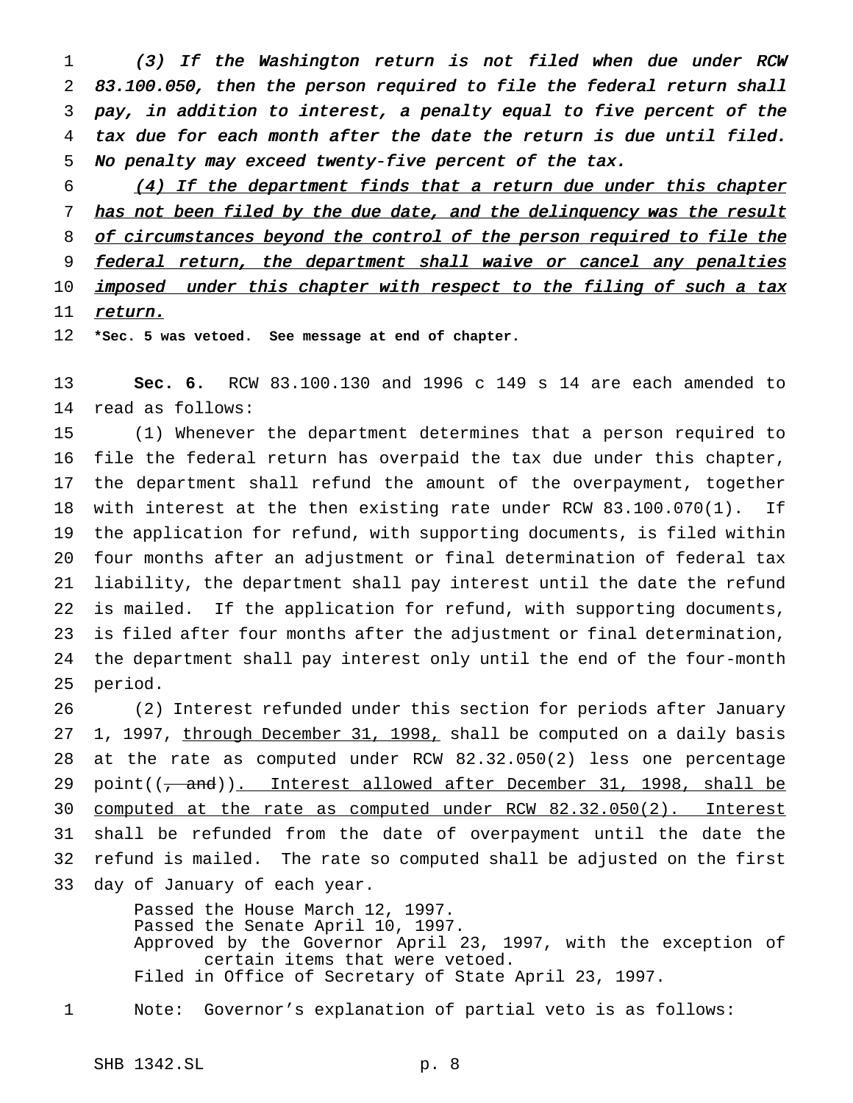(3) If the Washington return is not filed when due under RCW 83.100.050, then the person required to file the federal return shall pay, in addition to interest, <sup>a</sup> penalty equal to five percent of the tax due for each month after the date the return is due until filed. No penalty may exceed twenty-five percent of the tax.

6 (4) If the department finds that a return due under this chapter 7 has not been filed by the due date, and the delinquency was the result 8 of circumstances beyond the control of the person required to file the 9 federal return, the department shall waive or cancel any penalties 10 imposed under this chapter with respect to the filing of such a tax 11 return.

**\*Sec. 5 was vetoed. See message at end of chapter.**

 **Sec. 6.** RCW 83.100.130 and 1996 c 149 s 14 are each amended to read as follows:

 (1) Whenever the department determines that a person required to file the federal return has overpaid the tax due under this chapter, the department shall refund the amount of the overpayment, together with interest at the then existing rate under RCW 83.100.070(1). If the application for refund, with supporting documents, is filed within four months after an adjustment or final determination of federal tax liability, the department shall pay interest until the date the refund is mailed. If the application for refund, with supporting documents, is filed after four months after the adjustment or final determination, the department shall pay interest only until the end of the four-month period.

 (2) Interest refunded under this section for periods after January 27 1, 1997, through December 31, 1998, shall be computed on a daily basis at the rate as computed under RCW 82.32.050(2) less one percentage 29 point $((\frac{1}{2}, \frac{1}{2})$ . Interest allowed after December 31, 1998, shall be computed at the rate as computed under RCW 82.32.050(2). Interest shall be refunded from the date of overpayment until the date the refund is mailed. The rate so computed shall be adjusted on the first day of January of each year.

> Passed the House March 12, 1997. Passed the Senate April 10, 1997. Approved by the Governor April 23, 1997, with the exception of certain items that were vetoed. Filed in Office of Secretary of State April 23, 1997.

Note: Governor's explanation of partial veto is as follows: